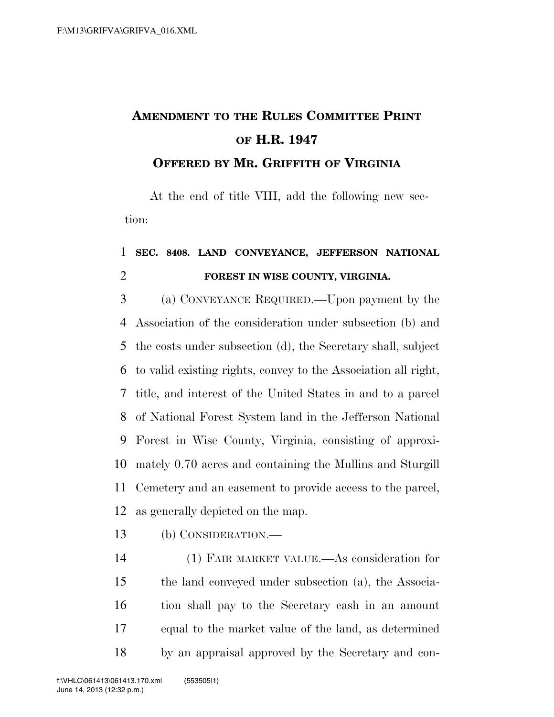## **AMENDMENT TO THE RULES COMMITTEE PRINT OF H.R. 1947 OFFERED BY MR. GRIFFITH OF VIRGINIA**

At the end of title VIII, add the following new section:

## **SEC. 8408. LAND CONVEYANCE, JEFFERSON NATIONAL FOREST IN WISE COUNTY, VIRGINIA.**

 (a) CONVEYANCE REQUIRED.—Upon payment by the Association of the consideration under subsection (b) and the costs under subsection (d), the Secretary shall, subject to valid existing rights, convey to the Association all right, title, and interest of the United States in and to a parcel of National Forest System land in the Jefferson National Forest in Wise County, Virginia, consisting of approxi- mately 0.70 acres and containing the Mullins and Sturgill Cemetery and an easement to provide access to the parcel, as generally depicted on the map.

(b) CONSIDERATION.—

 (1) FAIR MARKET VALUE.—As consideration for the land conveyed under subsection (a), the Associa- tion shall pay to the Secretary cash in an amount equal to the market value of the land, as determined by an appraisal approved by the Secretary and con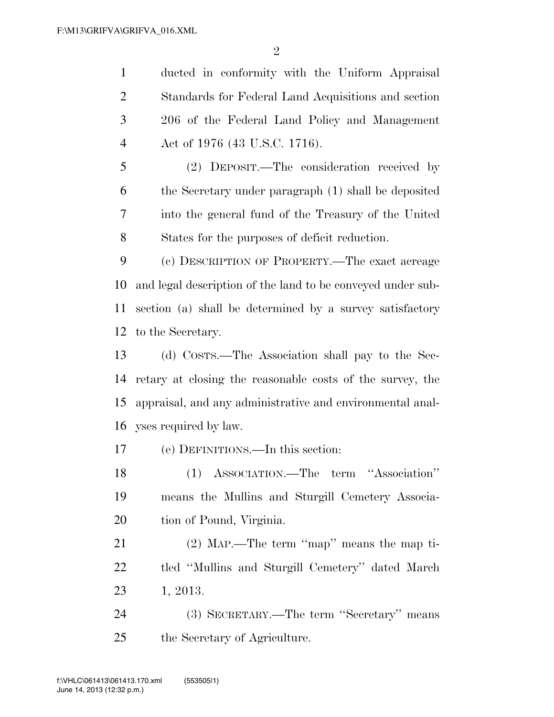ducted in conformity with the Uniform Appraisal Standards for Federal Land Acquisitions and section 206 of the Federal Land Policy and Management Act of 1976 (43 U.S.C. 1716).

 (2) DEPOSIT.—The consideration received by the Secretary under paragraph (1) shall be deposited into the general fund of the Treasury of the United States for the purposes of deficit reduction.

 (c) DESCRIPTION OF PROPERTY.—The exact acreage and legal description of the land to be conveyed under sub- section (a) shall be determined by a survey satisfactory to the Secretary.

 (d) COSTS.—The Association shall pay to the Sec- retary at closing the reasonable costs of the survey, the appraisal, and any administrative and environmental anal-yses required by law.

(e) DEFINITIONS.—In this section:

 (1) ASSOCIATION.—The term ''Association'' means the Mullins and Sturgill Cemetery Associa-20 tion of Pound, Virginia.

 (2) MAP.—The term ''map'' means the map ti- tled ''Mullins and Sturgill Cemetery'' dated March 1, 2013.

 (3) SECRETARY.—The term ''Secretary'' means the Secretary of Agriculture.